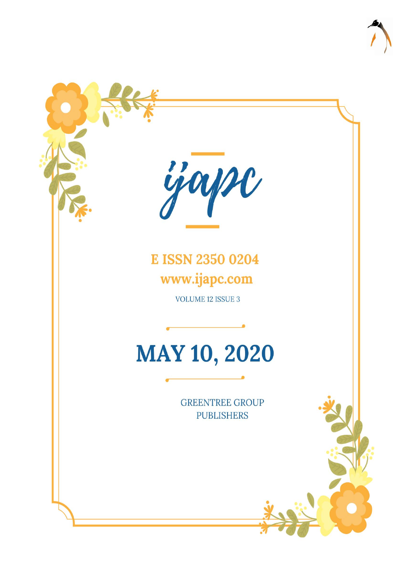

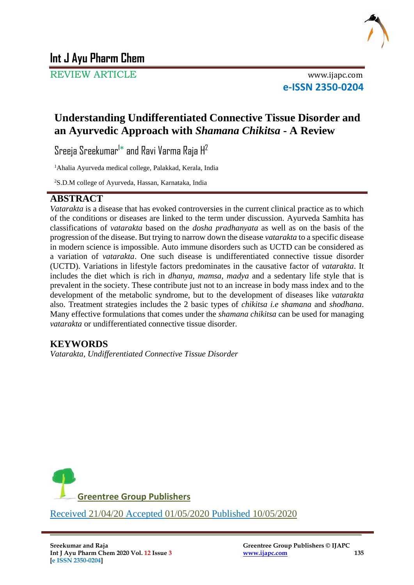

REVIEW ARTICLE www.ijapc.com

**e-ISSN 2350-0204**

## **Understanding Undifferentiated Connective Tissue Disorder and an Ayurvedic Approach with** *Shamana Chikitsa* **- A Review**

Sreeja Sreekumar $^{\dagger*}$  and Ravi Varma Raja H $^2$ 

<sup>1</sup>Ahalia Ayurveda medical college, Palakkad, Kerala, India

2S.D.M college of Ayurveda, Hassan, Karnataka, India

## **ABSTRACT**

*Vatarakta* is a disease that has evoked controversies in the current clinical practice as to which of the conditions or diseases are linked to the term under discussion. Ayurveda Samhita has classifications of *vatarakta* based on the *dosha pradhanyata* as well as on the basis of the progression of the disease. But trying to narrow down the disease *vatarakta* to a specific disease in modern science is impossible. Auto immune disorders such as UCTD can be considered as a variation of *vatarakta*. One such disease is undifferentiated connective tissue disorder (UCTD). Variations in lifestyle factors predominates in the causative factor of *vatarakta*. It includes the diet which is rich in *dhanya, mamsa, madya* and a sedentary life style that is prevalent in the society. These contribute just not to an increase in body mass index and to the development of the metabolic syndrome, but to the development of diseases like *vatarakta* also. Treatment strategies includes the 2 basic types of *chikitsa i.e shamana* and *shodhana*. Many effective formulations that comes under the *shamana chikitsa* can be used for managing *vatarakta* or undifferentiated connective tissue disorder.

## **KEYWORDS**

*Vatarakta, Undifferentiated Connective Tissue Disorder*



Received 21/04/20 Accepted 01/05/2020 Published 10/05/2020

 $\overline{\phantom{a}}$  , and the contribution of the contribution of the contribution of the contribution of the contribution of the contribution of the contribution of the contribution of the contribution of the contribution of the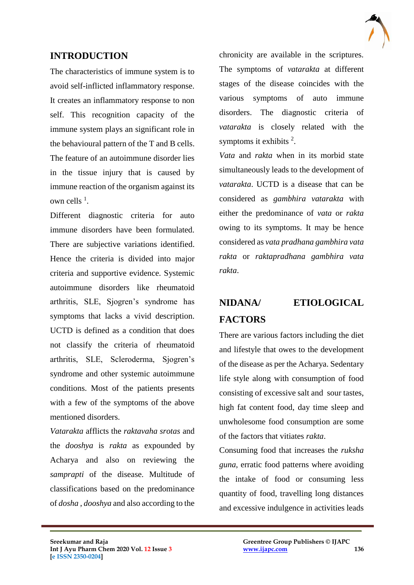## **INTRODUCTION**

The characteristics of immune system is to avoid self-inflicted inflammatory response. It creates an inflammatory response to non self. This recognition capacity of the immune system plays an significant role in the behavioural pattern of the T and B cells. The feature of an autoimmune disorder lies in the tissue injury that is caused by immune reaction of the organism against its own cells  $<sup>1</sup>$ .</sup>

Different diagnostic criteria for auto immune disorders have been formulated. There are subjective variations identified. Hence the criteria is divided into major criteria and supportive evidence. Systemic autoimmune disorders like rheumatoid arthritis, SLE, Sjogren's syndrome has symptoms that lacks a vivid description. UCTD is defined as a condition that does not classify the criteria of rheumatoid arthritis, SLE, Scleroderma, Sjogren's syndrome and other systemic autoimmune conditions. Most of the patients presents with a few of the symptoms of the above mentioned disorders.

*Vatarakta* afflicts the *raktavaha srotas* and the *dooshya* is *rakta* as expounded by Acharya and also on reviewing the *samprapti* of the disease. Multitude of classifications based on the predominance of *dosha* , *dooshya* and also according to the

 $\mathcal{L}_\mathcal{L}$  , and the contribution of the contribution of the contribution of the contribution of the contribution of the contribution of the contribution of the contribution of the contribution of the contribution of

chronicity are available in the scriptures. The symptoms of *vatarakta* at different stages of the disease coincides with the various symptoms of auto immune disorders. The diagnostic criteria of *vatarakta* is closely related with the symptoms it exhibits  $2$ .

*Vata* and *rakta* when in its morbid state simultaneously leads to the development of *vatarakta*. UCTD is a disease that can be considered as *gambhira vatarakta* with either the predominance of *vata* or *rakta*  owing to its symptoms. It may be hence considered as *vata pradhana gambhira vata rakta* or *raktapradhana gambhira vata rakta*.

# **NIDANA/ ETIOLOGICAL FACTORS**

There are various factors including the diet and lifestyle that owes to the development of the disease as per the Acharya. Sedentary life style along with consumption of food consisting of excessive salt and sour tastes, high fat content food, day time sleep and unwholesome food consumption are some of the factors that vitiates *rakta*.

Consuming food that increases the *ruksha guna*, erratic food patterns where avoiding the intake of food or consuming less quantity of food, travelling long distances and excessive indulgence in activities leads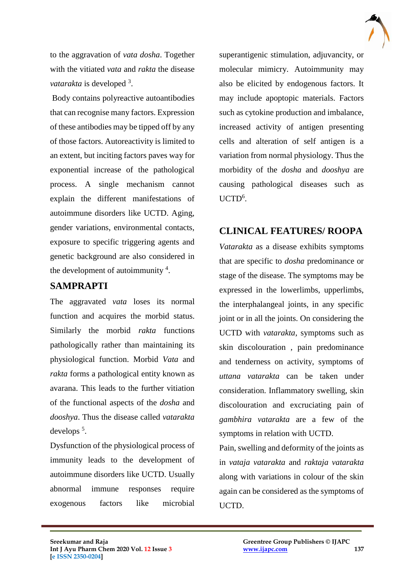

to the aggravation of *vata dosha*. Together with the vitiated *vata* and *rakta* the disease vatarakta is developed<sup>3</sup>.

Body contains polyreactive autoantibodies that can recognise many factors. Expression of these antibodies may be tipped off by any of those factors. Autoreactivity is limited to an extent, but inciting factors paves way for exponential increase of the pathological process. A single mechanism cannot explain the different manifestations of autoimmune disorders like UCTD. Aging, gender variations, environmental contacts, exposure to specific triggering agents and genetic background are also considered in the development of autoimmunity  $4$ .

### **SAMPRAPTI**

The aggravated *vata* loses its normal function and acquires the morbid status. Similarly the morbid *rakta* functions pathologically rather than maintaining its physiological function. Morbid *Vata* and *rakta* forms a pathological entity known as avarana. This leads to the further vitiation of the functional aspects of the *dosha* and *dooshya*. Thus the disease called *vatarakta* develops <sup>5</sup> .

Dysfunction of the physiological process of immunity leads to the development of autoimmune disorders like UCTD. Usually abnormal immune responses require exogenous factors like microbial

 $\mathcal{L}_\mathcal{L}$  , and the contribution of the contribution of the contribution of the contribution of the contribution of the contribution of the contribution of the contribution of the contribution of the contribution of

superantigenic stimulation, adjuvancity, or molecular mimicry. Autoimmunity may also be elicited by endogenous factors. It may include apoptopic materials. Factors such as cytokine production and imbalance, increased activity of antigen presenting cells and alteration of self antigen is a variation from normal physiology. Thus the morbidity of the *dosha* and *dooshya* are causing pathological diseases such as UCTD<sup>6</sup>.

## **CLINICAL FEATURES/ ROOPA**

*Vatarakta* as a disease exhibits symptoms that are specific to *dosha* predominance or stage of the disease. The symptoms may be expressed in the lowerlimbs, upperlimbs, the interphalangeal joints, in any specific joint or in all the joints. On considering the UCTD with *vatarakta*, symptoms such as skin discolouration , pain predominance and tenderness on activity, symptoms of *uttana vatarakta* can be taken under consideration. Inflammatory swelling, skin discolouration and excruciating pain of *gambhira vatarakta* are a few of the symptoms in relation with UCTD.

Pain, swelling and deformity of the joints as in *vataja vatarakta* and *raktaja vatarakta* along with variations in colour of the skin again can be considered as the symptoms of UCTD.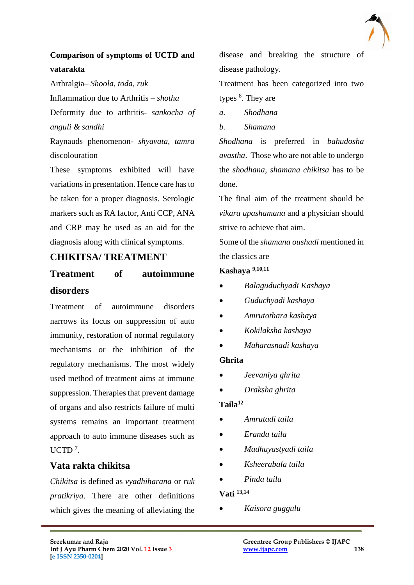

## **Comparison of symptoms of UCTD and vatarakta**

Arthralgia– *Shoola, toda, ruk* Inflammation due to Arthritis – *shotha* Deformity due to arthritis- *sankocha of anguli & sandhi*

Raynauds phenomenon- *shyavata, tamra*  discolouration

These symptoms exhibited will have variations in presentation. Hence care has to be taken for a proper diagnosis. Serologic markers such as RA factor, Anti CCP, ANA and CRP may be used as an aid for the diagnosis along with clinical symptoms.

## **CHIKITSA/ TREATMENT**

## **Treatment of autoimmune disorders**

Treatment of autoimmune disorders narrows its focus on suppression of auto immunity, restoration of normal regulatory mechanisms or the inhibition of the regulatory mechanisms. The most widely used method of treatment aims at immune suppression. Therapies that prevent damage of organs and also restricts failure of multi systems remains an important treatment approach to auto immune diseases such as  $UCTD$ <sup>7</sup>.

### **Vata rakta chikitsa**

*Chikitsa* is defined as *vyadhiharana* or *ruk pratikriya*. There are other definitions which gives the meaning of alleviating the disease and breaking the structure of disease pathology.

Treatment has been categorized into two types <sup>8</sup>. They are

- *a. Shodhana*
- *b. Shamana*

*Shodhana* is preferred in *bahudosha avastha*. Those who are not able to undergo the *shodhana, shamana chikitsa* has to be done.

The final aim of the treatment should be *vikara upashamana* and a physician should strive to achieve that aim.

Some of the *shamana oushadi* mentioned in the classics are

### **Kashaya 9,10,11**

- *Balaguduchyadi Kashaya*
- *Guduchyadi kashaya*
- *Amrutothara kashaya*
- *Kokilaksha kashaya*
- *Maharasnadi kashaya*

### **Ghrita**

- *Jeevaniya ghrita*
- *Draksha ghrita*

### **Taila<sup>12</sup>**

- *Amrutadi taila*
- *Eranda taila*
- *Madhuyastyadi taila*
- *Ksheerabala taila*
- *Pinda taila*

### **Vati 13,14**

 $\mathcal{L}_\mathcal{L}$  , and the contribution of the contribution of the contribution of the contribution of the contribution of the contribution of the contribution of the contribution of the contribution of the contribution of

*Kaisora guggulu*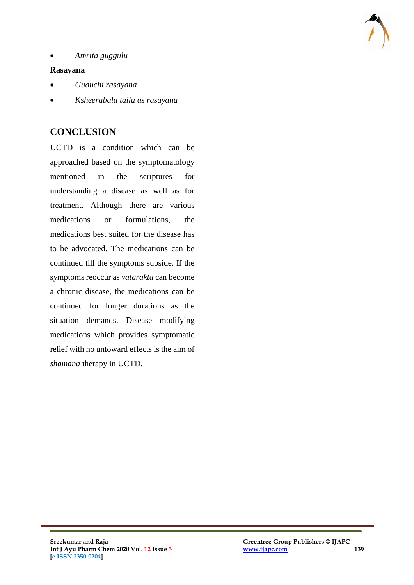

*Amrita guggulu*

#### **Rasayana**

- *Guduchi rasayana*
- *Ksheerabala taila as rasayana*

### **CONCLUSION**

UCTD is a condition which can be approached based on the symptomatology mentioned in the scriptures for understanding a disease as well as for treatment. Although there are various medications or formulations, the medications best suited for the disease has to be advocated. The medications can be continued till the symptoms subside. If the symptoms reoccur as *vatarakta* can become a chronic disease, the medications can be continued for longer durations as the situation demands. Disease modifying medications which provides symptomatic relief with no untoward effects is the aim of *shamana* therapy in UCTD.

 $\mathcal{L}_\mathcal{L}$  , and the contribution of the contribution of the contribution of the contribution of the contribution of the contribution of the contribution of the contribution of the contribution of the contribution of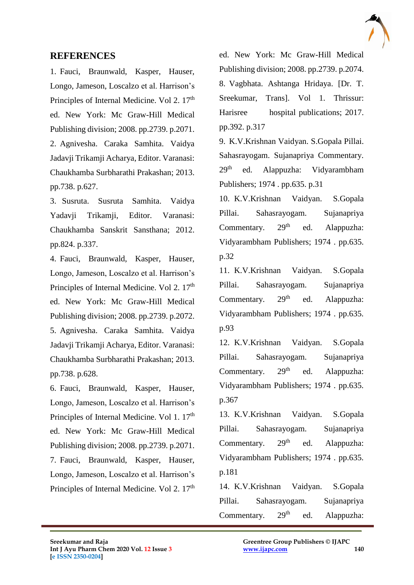

### **REFERENCES**

1. Fauci, Braunwald, Kasper, Hauser, Longo, Jameson, Loscalzo et al. Harrison's Principles of Internal Medicine. Vol 2. 17<sup>th</sup> ed. New York: Mc Graw-Hill Medical Publishing division; 2008. pp.2739. p.2071. 2. Agnivesha. Caraka Samhita. Vaidya Jadavji Trikamji Acharya, Editor. Varanasi: Chaukhamba Surbharathi Prakashan; 2013. pp.738. p.627.

3. Susruta. Susruta Samhita. Vaidya Yadavji Trikamji, Editor. Varanasi: Chaukhamba Sanskrit Sansthana; 2012. pp.824. p.337.

4. Fauci, Braunwald, Kasper, Hauser, Longo, Jameson, Loscalzo et al. Harrison's Principles of Internal Medicine. Vol 2. 17<sup>th</sup> ed. New York: Mc Graw-Hill Medical Publishing division; 2008. pp.2739. p.2072. 5. Agnivesha. Caraka Samhita. Vaidya Jadavji Trikamji Acharya, Editor. Varanasi: Chaukhamba Surbharathi Prakashan; 2013. pp.738. p.628.

6. Fauci, Braunwald, Kasper, Hauser, Longo, Jameson, Loscalzo et al. Harrison's Principles of Internal Medicine. Vol 1. 17<sup>th</sup> ed. New York: Mc Graw-Hill Medical Publishing division; 2008. pp.2739. p.2071. 7. Fauci, Braunwald, Kasper, Hauser, Longo, Jameson, Loscalzo et al. Harrison's Principles of Internal Medicine. Vol 2. 17<sup>th</sup> ed. New York: Mc Graw-Hill Medical Publishing division; 2008. pp.2739. p.2074. 8. Vagbhata. Ashtanga Hridaya. [Dr. T. Sreekumar, Trans]. Vol 1. Thrissur: Harisree hospital publications; 2017. pp.392. p.317

9. K.V.Krishnan Vaidyan. S.Gopala Pillai. Sahasrayogam. Sujanapriya Commentary. 29<sup>th</sup> ed. Alappuzha: Vidyarambham Publishers; 1974 . pp.635. p.31

10. K.V.Krishnan Vaidyan. S.Gopala Pillai. Sahasrayogam. Sujanapriya Commentary.  $29<sup>th</sup>$  ed. Alappuzha: Vidyarambham Publishers; 1974 . pp.635. p.32

11. K.V.Krishnan Vaidyan. S.Gopala Pillai. Sahasrayogam. Sujanapriya Commentary. 29<sup>th</sup> ed. Alappuzha: Vidyarambham Publishers; 1974 . pp.635. p.93

12. K.V.Krishnan Vaidyan. S.Gopala Pillai. Sahasrayogam. Sujanapriya Commentary. 29<sup>th</sup> ed. Alappuzha: Vidyarambham Publishers; 1974 . pp.635. p.367

13. K.V.Krishnan Vaidyan. S.Gopala Pillai. Sahasrayogam. Sujanapriya Commentary.  $29<sup>th</sup>$  ed. Alappuzha: Vidyarambham Publishers; 1974 . pp.635. p.181

14. K.V.Krishnan Vaidyan. S.Gopala Pillai. Sahasrayogam. Sujanapriya Commentary.  $29<sup>th</sup>$  ed. Alappuzha:

 $\mathcal{L}_\mathcal{L}$  , and the contribution of the contribution of the contribution of the contribution of the contribution of the contribution of the contribution of the contribution of the contribution of the contribution of